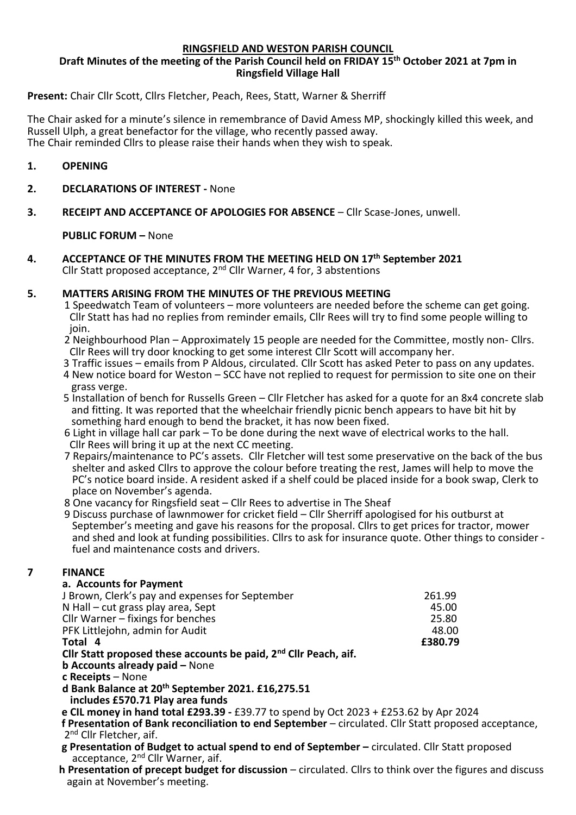#### **RINGSFIELD AND WESTON PARISH COUNCIL**

# **Draft Minutes of the meeting of the Parish Council held on FRIDAY 15th October 2021 at 7pm in Ringsfield Village Hall**

# **Present:** Chair Cllr Scott, Cllrs Fletcher, Peach, Rees, Statt, Warner & Sherriff

The Chair asked for a minute's silence in remembrance of David Amess MP, shockingly killed this week, and Russell Ulph, a great benefactor for the village, who recently passed away. The Chair reminded Cllrs to please raise their hands when they wish to speak.

# **1. OPENING**

- **2. DECLARATIONS OF INTEREST -** None
- **3. RECEIPT AND ACCEPTANCE OF APOLOGIES FOR ABSENCE** Cllr Scase-Jones, unwell.

# **PUBLIC FORUM –** None

**4. ACCEPTANCE OF THE MINUTES FROM THE MEETING HELD ON 17th September 2021** Cllr Statt proposed acceptance,  $2^{nd}$  Cllr Warner, 4 for, 3 abstentions

# **5. MATTERS ARISING FROM THE MINUTES OF THE PREVIOUS MEETING**

- 1 Speedwatch Team of volunteers more volunteers are needed before the scheme can get going. Cllr Statt has had no replies from reminder emails, Cllr Rees will try to find some people willing to ioin.
- 2 Neighbourhood Plan Approximately 15 people are needed for the Committee, mostly non- Cllrs. Cllr Rees will try door knocking to get some interest Cllr Scott will accompany her.
- 3 Traffic issues emails from P Aldous, circulated. Cllr Scott has asked Peter to pass on any updates.
- 4 New notice board for Weston SCC have not replied to request for permission to site one on their grass verge.
- 5 Installation of bench for Russells Green Cllr Fletcher has asked for a quote for an 8x4 concrete slab and fitting. It was reported that the wheelchair friendly picnic bench appears to have bit hit by something hard enough to bend the bracket, it has now been fixed.
- 6 Light in village hall car park To be done during the next wave of electrical works to the hall. Cllr Rees will bring it up at the next CC meeting.
- 7 Repairs/maintenance to PC's assets. Cllr Fletcher will test some preservative on the back of the bus shelter and asked Cllrs to approve the colour before treating the rest, James will help to move the PC's notice board inside. A resident asked if a shelf could be placed inside for a book swap, Clerk to place on November's agenda.
- 8 One vacancy for Ringsfield seat Cllr Rees to advertise in The Sheaf
- 9 Discuss purchase of lawnmower for cricket field Cllr Sherriff apologised for his outburst at September's meeting and gave his reasons for the proposal. Cllrs to get prices for tractor, mower and shed and look at funding possibilities. Cllrs to ask for insurance quote. Other things to consider fuel and maintenance costs and drivers.

# **7 FINANCE**

# **a. Accounts for Payment**

| J Brown, Clerk's pay and expenses for September                                                                | 261.99  |
|----------------------------------------------------------------------------------------------------------------|---------|
| N Hall – cut grass play area, Sept                                                                             | 45.00   |
| Cllr Warner – fixings for benches                                                                              | 25.80   |
| PFK Littlejohn, admin for Audit                                                                                | 48.00   |
| Total 4                                                                                                        | £380.79 |
| Cllr Statt proposed these accounts be paid, 2 <sup>nd</sup> Cllr Peach, aif.                                   |         |
| the Alexander and a state of the state of the state of the state of the state of the state of the state of the |         |

**b Accounts already paid –** None

**c Receipts** – None

**d Bank Balance at 20th September 2021. £16,275.51**

 **includes £570.71 Play area funds**

- **e CIL money in hand total £293.39 -** £39.77 to spend by Oct 2023 + £253.62 by Apr 2024
- **f Presentation of Bank reconciliation to end September** circulated. Cllr Statt proposed acceptance, 2<sup>nd</sup> Cllr Fletcher, aif.
	- **g Presentation of Budget to actual spend to end of September –** circulated. Cllr Statt proposed acceptance, 2<sup>nd</sup> Cllr Warner, aif.
	- **h Presentation of precept budget for discussion** circulated. Cllrs to think over the figures and discuss again at November's meeting.